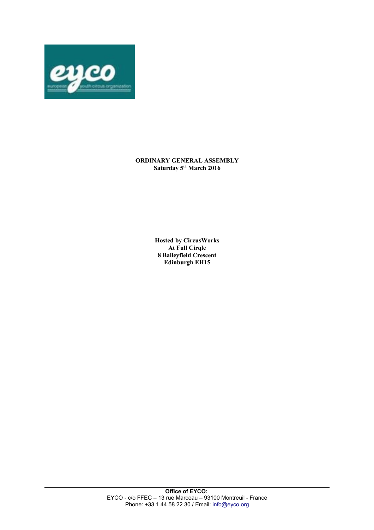

## **ORDINARY GENERAL ASSEMBLY Saturday 5th March 2016**

**Hosted by CircusWorks At Full Cirqle 8 Baileyfield Crescent Edinburgh EH15**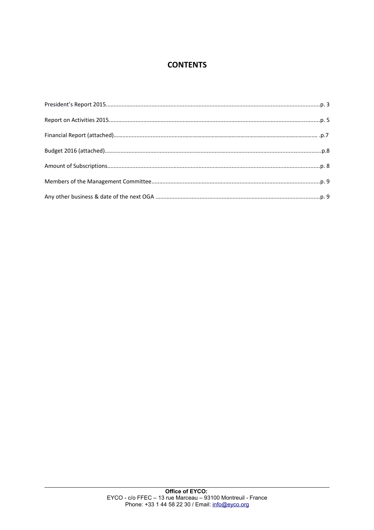# **CONTENTS**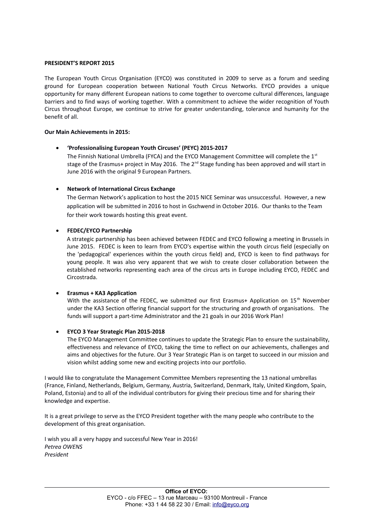#### **PRESIDENT'S REPORT 2015**

The European Youth Circus Organisation (EYCO) was constituted in 2009 to serve as a forum and seeding ground for European cooperation between National Youth Circus Networks. EYCO provides a unique opportunity for many different European nations to come together to overcome cultural differences, language barriers and to find ways of working together. With a commitment to achieve the wider recognition of Youth Circus throughout Europe, we continue to strive for greater understanding, tolerance and humanity for the benefit of all.

#### **Our Main Achievements in 2015:**

### **'Professionalising European Youth Circuses' (PEYC) 2015-2017**

The Finnish National Umbrella (FYCA) and the EYCO Management Committee will complete the  $1<sup>st</sup>$ stage of the Erasmus+ project in May 2016. The  $2^{nd}$  Stage funding has been approved and will start in June 2016 with the original 9 European Partners.

## **Network of International Circus Exchange**

The German Network's application to host the 2015 NICE Seminar was unsuccessful. However, a new application will be submitted in 2016 to host in Gschwend in October 2016. Our thanks to the Team for their work towards hosting this great event.

### **FEDEC/EYCO Partnership**

A strategic partnership has been achieved between FEDEC and EYCO following a meeting in Brussels in June 2015. FEDEC is keen to learn from EYCO's expertise within the youth circus field (especially on the 'pedagogical' experiences within the youth circus field) and, EYCO is keen to find pathways for young people. It was also very apparent that we wish to create closer collaboration between the established networks representing each area of the circus arts in Europe including EYCO, FEDEC and Circostrada.

### **Erasmus + KA3 Application**

With the assistance of the FEDEC, we submitted our first Erasmus+ Application on  $15<sup>th</sup>$  November under the KA3 Section offering financial support for the structuring and growth of organisations. The funds will support a part-time Administrator and the 21 goals in our 2016 Work Plan!

### **EYCO 3 Year Strategic Plan 2015-2018**

The EYCO Management Committee continues to update the Strategic Plan to ensure the sustainability, effectiveness and relevance of EYCO, taking the time to reflect on our achievements, challenges and aims and objectives for the future. Our 3 Year Strategic Plan is on target to succeed in our mission and vision whilst adding some new and exciting projects into our portfolio.

I would like to congratulate the Management Committee Members representing the 13 national umbrellas (France, Finland, Netherlands, Belgium, Germany, Austria, Switzerland, Denmark, Italy, United Kingdom, Spain, Poland, Estonia) and to all of the individual contributors for giving their precious time and for sharing their knowledge and expertise.

It is a great privilege to serve as the EYCO President together with the many people who contribute to the development of this great organisation.

I wish you all a very happy and successful New Year in 2016! *Petrea OWENS President*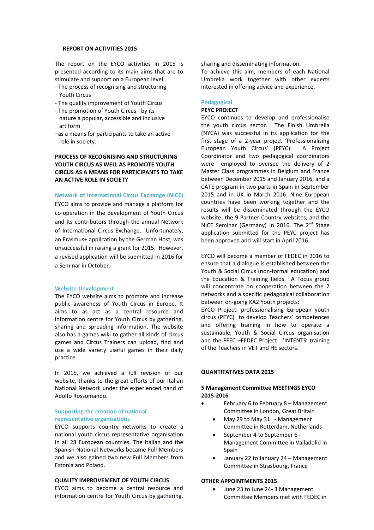#### **REPORT ON ACTIVITIES 2015**

The report on the EYCO activities in 2015 is presented according to its main aims that are to stimulate and support on a European level:

- The process of recognising and structuring Youth Circus
- The quality improvement of Youth Circus
- The promotion of Youth Circus by its nature a popular, accessible and inclusive art form
- –as a means for participants to take an active role in society.

## **PROCESS OF RECOGNISING AND STRUCTURING YOUTH CIRCUS AS WELL AS PROMOTE YOUTH CIRCUS AS A MEANS FOR PARTICIPANTS TO TAKE AN ACTIVE ROLE IN SOCIETY**

#### **Network of International Circus Exchange (NICE)**

EYCO aims to provide and manage a platform for co-operation in the development of Youth Circus and its contributors through the annual Network of International Circus Exchange. Unfortunately, an Erasmus+ application by the German Host, was unsuccessful in raising a grant for 2015. However, a revised application will be submitted in 2016 for a Seminar in October.

#### **Website-Development**

The EYCO website aims to promote and increase public awareness of Youth Circus in Europe. It aims to as act as a central resource and information centre for Youth Circus by gathering, sharing and spreading information. The website also has a games wiki to gather all kinds of circus games and Circus Trainers can upload, find and use a wide variety useful games in their daily practice.

In 2015, we achieved a full revision of our website, thanks to the great efforts of our Italian National Network under the experienced hand of Adolfo Rossomando.

#### **Supporting the creation of national representative organisations**

EYCO supports country networks to create a national youth circus representative organisation in all 28 European countries. The Italian and the Spanish National Networks became Full Members and we also gained two new Full Members from Estonia and Poland.

## **QUALITY IMPROVEMENT OF YOUTH CIRCUS**

EYCO aims to become a central resource and information centre for Youth Circus by gathering, sharing and disseminating information.

To achieve this aim, members of each National Umbrella work together with other experts interested in offering advice and experience.

#### **Pedagogical**

### **PEYC PROJECT**

EYCO continues to develop and professionalise the youth circus sector. The Finish Umbrella (NYCA) was successful in its application for the first stage of a 2-year project 'Professionalising European Youth Circus' (PEYC). A Project Coordinator and two pedagogical coordinators were employed to oversee the delivery of 2 Master Class programmes in Belgium and France between December 2015 and January 2016, and a CATE program in two parts in Spain in September 2015 and in UK in March 2016. Nine European countries have been working together and the results will be disseminated through the EYCO website, the 9 Partner Country websites, and the NICE Seminar (Germany) in 2016. The 2<sup>nd</sup> Stage application submitted for the PEYC project has been approved and will start in April 2016.

EYCO will become a member of FEDEC in 2016 to ensure that a dialogue is established between the Youth & Social Circus (non-formal education) and the Education & Training fields. A Focus group will concentrate on cooperation between the 2 networks and a specific pedagogical collaboration between on-going KA2 Youth projects:

EYCO Project: professionalising European youth circus (PEYC) to develop Teachers' competences and offering training in how to operate a sustainable, Youth & Social Circus organisation and the FFEC –FEDEC Project: 'INTENTS' training of the Teachers in VET and HE sectors.

#### **QUANTITATIVES DATA 2015**

#### **5 Management Committee MEETINGS EYCO 2015-2016**

- February 6 to February 8 Management Committee in London, Great Britain
	- May 29 to May 31 Management Committee in Rotterdam, Netherlands
	- September 4 to September 6 Management Committee in Valladolid in Spain
	- January 22 to January 24 Management Committee in Strasbourg, France

#### **OTHER APPOINTMENTS 2015**

 June 23 to June 24- 3 Management Committee Members met with FEDEC in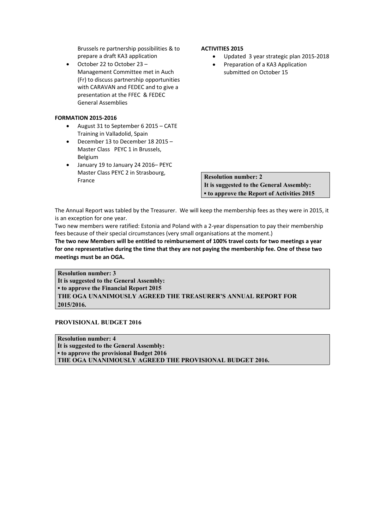Brussels re partnership possibilities & to prepare a draft KA3 application

 October 22 to October 23 – Management Committee met in Auch (Fr) to discuss partnership opportunities with CARAVAN and FEDEC and to give a presentation at the FFEC & FEDEC General Assemblies

# **FORMATION 2015-2016**

- August 31 to September 6 2015 CATE Training in Valladolid, Spain
- December 13 to December 18 2015 Master Class PEYC 1 in Brussels, Belgium
- January 19 to January 24 2016– PEYC Master Class PEYC 2 in Strasbourg, France

## **ACTIVITIES 2015**

- Updated 3 year strategic plan 2015-2018
- Preparation of a KA3 Application submitted on October 15

**Resolution number: 2 It is suggested to the General Assembly: ▪ to approve the Report of Activities 2015**

The Annual Report was tabled by the Treasurer. We will keep the membership fees as they were in 2015, it is an exception for one year.

Two new members were ratified: Estonia and Poland with a 2-year dispensation to pay their membership fees because of their special circumstances (very small organisations at the moment.)

**The two new Members will be entitled to reimbursement of 100% travel costs for two meetings a year for one representative during the time that they are not paying the membership fee. One of these two meetings must be an OGA.**

**Resolution number: 3 It is suggested to the General Assembly: ▪ to approve the Financial Report 2015 THE OGA UNANIMOUSLY AGREED THE TREASURER'S ANNUAL REPORT FOR 2015/2016.**

**PROVISIONAL BUDGET 2016**

**Resolution number: 4 It is suggested to the General Assembly: ▪ to approve the provisional Budget 2016 THE OGA UNANIMOUSLY AGREED THE PROVISIONAL BUDGET 2016.**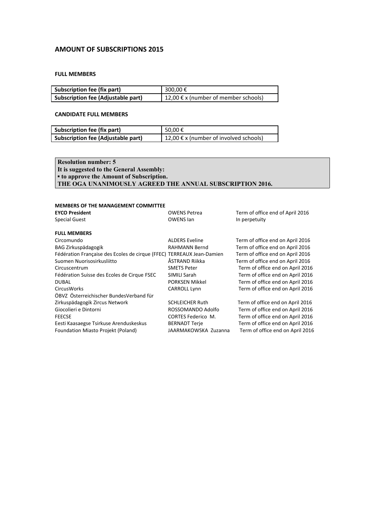# **AMOUNT OF SUBSCRIPTIONS 2015**

## **FULL MEMBERS**

| Subscription fee (fix part)        | 300.00€                              |
|------------------------------------|--------------------------------------|
| Subscription fee (Adjustable part) | 12,00 € x (number of member schools) |

# **CANDIDATE FULL MEMBERS**

| Subscription fee (fix part)               | 50.00€                                 |
|-------------------------------------------|----------------------------------------|
| <b>Subscription fee (Adjustable part)</b> | 12,00 € x (number of involved schools) |

**Resolution number: 5 It is suggested to the General Assembly: ▪ to approve the Amount of Subscription. THE OGA UNANIMOUSLY AGREED THE ANNUAL SUBSCRIPTION 2016.**

#### **MEMBERS OF THE MANAGEMENT COMMITTEE**

| <b>EYCO President</b><br><b>Special Guest</b>                         | <b>OWENS Petrea</b><br><b>OWENS Ian</b> | Term of office end of April 2016<br>In perpetuity |
|-----------------------------------------------------------------------|-----------------------------------------|---------------------------------------------------|
| <b>FULL MEMBERS</b>                                                   |                                         |                                                   |
| Circomundo                                                            | <b>ALDERS Eveline</b>                   | Term of office end on April 2016                  |
| BAG Zirkuspädagogik                                                   | <b>RAHMANN Bernd</b>                    | Term of office end on April 2016                  |
| Fédération Française des Ecoles de cirque (FFEC) TERREAUX Jean-Damien |                                         | Term of office end on April 2016                  |
| Suomen Nuorisosirkusliitto                                            | ÅSTRAND Riikka                          | Term of office end on April 2016                  |
| Circuscentrum                                                         | <b>SMETS Peter</b>                      | Term of office end on April 2016                  |
| Fédération Suisse des Ecoles de Cirque FSEC                           | SIMILI Sarah                            | Term of office end on April 2016                  |
| <b>DUBAL</b>                                                          | <b>PORKSEN Mikkel</b>                   | Term of office end on April 2016                  |
| <b>CircusWorks</b>                                                    | CARROLL Lynn                            | Term of office end on April 2016                  |
| ÖBVZ Österreichischer BundesVerband für                               |                                         |                                                   |
| Zirkuspädagogik Zircus Network                                        | <b>SCHLEICHER Ruth</b>                  | Term of office end on April 2016                  |
| Giocolieri e Dintorni                                                 | ROSSOMANDO Adolfo                       | Term of office end on April 2016                  |
| <b>FEECSE</b>                                                         | <b>CORTES Federico M.</b>               | Term of office end on April 2016                  |
| Eesti Kaasaegse Tsirkuse Arenduskeskus                                | <b>BERNADT Terje</b>                    | Term of office end on April 2016                  |
| Foundation Miasto Projekt (Poland)                                    | JAARMAKOWSKA Zuzanna                    | Term of office end on April 2016                  |